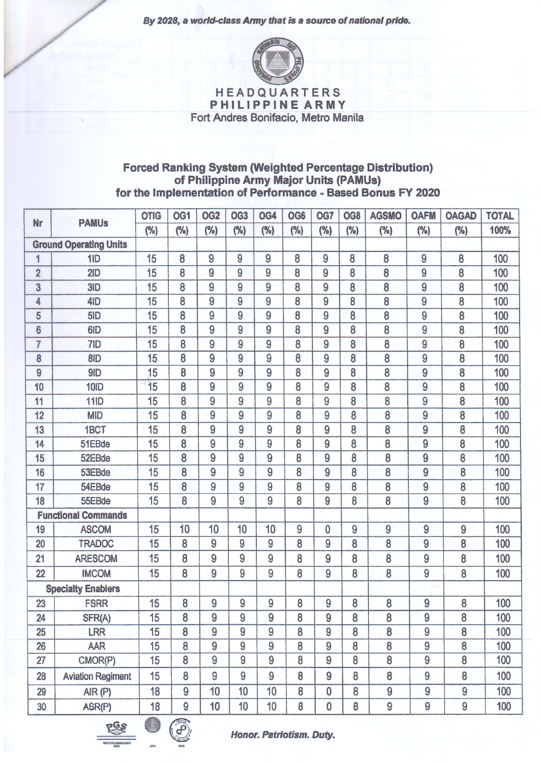By 2028, a world-class Army that is a source of national pride.



HEADQUARTERS PHILIPPINE ARMY Fort Andres Bonifacio, Metro Manila

## Forced Ranking System (Weighted Percentage Distribution) of Philippine Army Major Units (PAMUs) for the Implementation of Performance - Based Bonus FY 2020

| <b>Nr</b>      | <b>PAMUs</b>                  | <b>OTIG</b> | OG <sub>1</sub> | OG <sub>2</sub> | OG <sub>3</sub> | OG4            | OG6 | OG7          | OG8  | <b>AGSMO</b>   | <b>OAFM</b>    | <b>OAGAD</b> | <b>TOTAL</b> |
|----------------|-------------------------------|-------------|-----------------|-----------------|-----------------|----------------|-----|--------------|------|----------------|----------------|--------------|--------------|
|                |                               | (%)         | (%)             | (%)             | (%)             | (%)            | (%) | (%)          | (% ) | (%)            | (%)            | (%)          | 100%         |
|                | <b>Ground Operating Units</b> |             |                 |                 |                 |                |     |              |      |                |                |              |              |
| 1              | 1ID                           | 15          | 8               | 9               | 9               | $\overline{9}$ | 8   | 9            | 8    | 8              | 9              | 8            | 100          |
| $\overline{2}$ | 2ID                           | 15          | 8               | 9               | 9               | 9              | 8   | 9            | 8    | 8              | 9              | 8            | 100          |
| 3              | 3ID                           | 15          | 8               | 9               | 9               | 9              | 8   | 9            | 8    | 8              | 9              | 8            | 100          |
| 4              | 4ID                           | 15          | 8               | 9               | 9               | 9              | 8   | 9            | 8    | 8              | 9              | 8            | 100          |
| 5              | 5ID                           | 15          | 8               | 9               | 9               | 9              | 8   | 9            | 8    | 8              | 9              | 8            | 100          |
| 6              | 6ID                           | 15          | 8               | 9               | 9               | 9              | 8   | 9            | 8    | 8              | 9              | 8            | 100          |
| $\overline{7}$ | 7ID                           | 15          | 8               | 9               | 9               | 9              | 8   | 9            | 8    | 8              | 9              | 8            | 100          |
| 8              | 8ID                           | 15          | 8               | 9               | 9               | 9              | 8   | 9            | 8    | 8              | 9              | 8            | 100          |
| 9              | 9ID                           | 15          | 8               | 9               | 9               | 9              | 8   | 9            | 8    | 8              | 9              | 8            | 100          |
| 10             | <b>10ID</b>                   | 15          | 8               | 9               | 9               | 9              | 8   | 9            | 8    | 8              | 9              | 8            | 100          |
| 11             | <b>11ID</b>                   | 15          | 8               | 9               | 9               | 9              | 8   | 9            | 8    | 8              | 9              | 8            | 100          |
| 12             | <b>MID</b>                    | 15          | 8               | 9               | 9               | 9              | 8   | 9            | 8    | 8              | 9              | 8            | 100          |
| 13             | 1BCT                          | 15          | 8               | 9               | 9               | 9              | 8   | 9            | 8    | 8              | 9              | 8            | 100          |
| 14             | 51EBde                        | 15          | 8               | 9               | 9               | 9              | 8   | 9            | 8    | 8              | 9              | 8            | 100          |
| 15             | 52EBde                        | 15          | 8               | 9               | 9               | 9              | 8   | 9            | 8    | 8              | 9              | 8            | 100          |
| 16             | 53EBde                        | 15          | 8               | 9               | 9               | 9              | 8   | 9            | 8    | 8              | 9              | 8            | 100          |
| 17             | 54EBde                        | 15          | 8               | 9               | 9               | 9              | 8   | 9            | 8    | 8              | $\overline{9}$ | 8            | 100          |
| 18             | 55EBde                        | 15          | 8               | 9               | 9               | 9              | 8   | 9            | 8    | 8              | 9              | 8            | 100          |
|                | <b>Functional Commands</b>    |             |                 |                 |                 |                |     |              |      |                |                |              |              |
| 19             | <b>ASCOM</b>                  | 15          | 10              | 10              | 10              | 10             | 9   | $\mathbf{0}$ | 9    | 9              | 9              | 9            | 100          |
| 20             | <b>TRADOC</b>                 | 15          | 8               | 9               | 9               | 9              | 8   | 9            | 8    | 8              | 9              | 8            | 100          |
| 21             | <b>ARESCOM</b>                | 15          | 8               | 9               | 9               | 9              | 8   | 9            | 8    | 8              | 9              | 8            | 100          |
| 22             | <b>IMCOM</b>                  | 15          | 8               | 9               | 9               | 9              | 8   | 9            | 8    | 8              | 9              | 8            | 100          |
|                | <b>Specialty Enablers</b>     |             |                 |                 |                 |                |     |              |      |                |                |              |              |
| 23             | <b>FSRR</b>                   | 15          | 8               | 9               | 9               | 9              | 8   | 9            | 8    | 8              | 9              | 8            | 100          |
| 24             | SFR(A)                        | 15          | 8               | 9               | 9               | 9              | 8   | 9            | 8    | 8              | 9              | 8            | 100          |
| 25             | <b>LRR</b>                    | 15          | 8               | 9               | 9               | $\overline{9}$ | 8   | 9            | 8    | 8              | 9              | 8            | 100          |
| 26             | AAR                           | 15          | 8               | $\overline{9}$  | $\overline{9}$  | $\overline{9}$ | 8   | 9            | 8    | 8              | 9              | 8            | 100          |
| 27             | CMOR(P)                       | 15          | 8               | 9               | 9               | 9              | 8   | 9            | 8    | 8              | 9              | 8            | 100          |
| 28             | <b>Aviation Regiment</b>      | 15          | 8               | 9               | 9               | 9              | 8   | 9            | 8    | 8              | 9              | 8            | 100          |
| 29             | AIR(P)                        | 18          | 9               | 10              | 10              | 10             | 8   | $\bf{0}$     | 8    | $\overline{9}$ | 9              | 9            | 100          |
| 30             | ASR(P)                        | 18          | 9               | 10              | 10              | 10             | 8   | $\bf{0}$     | 8    | $\overline{9}$ | 9              | 9            | 100          |

**PGS** 



Honor. Patriotism. Duty.